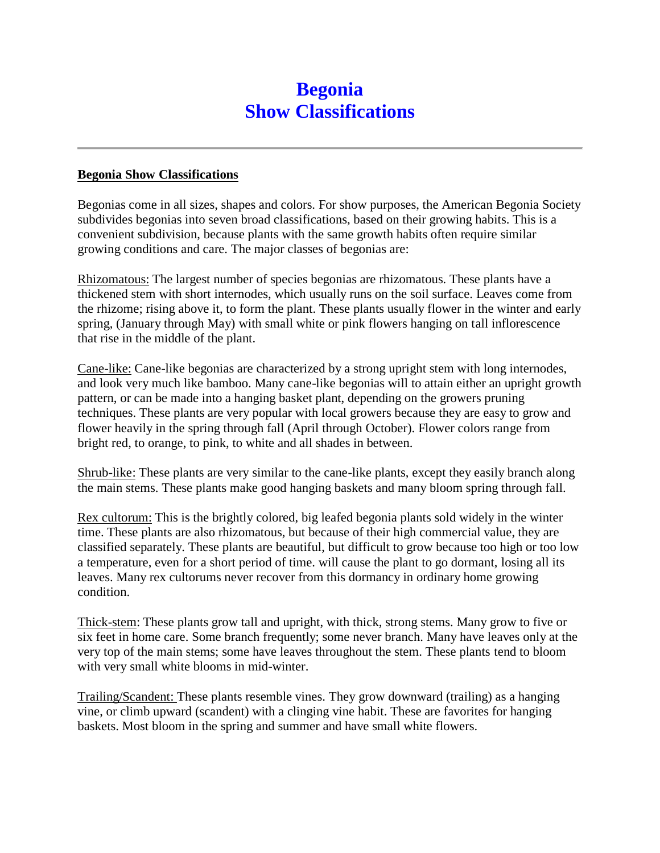## **Begonia Show Classifications**

## **Begonia Show Classifications**

Begonias come in all sizes, shapes and colors. For show purposes, the American Begonia Society subdivides begonias into seven broad classifications, based on their growing habits. This is a convenient subdivision, because plants with the same growth habits often require similar growing conditions and care. The major classes of begonias are:

Rhizomatous: The largest number of species begonias are rhizomatous. These plants have a thickened stem with short internodes, which usually runs on the soil surface. Leaves come from the rhizome; rising above it, to form the plant. These plants usually flower in the winter and early spring, (January through May) with small white or pink flowers hanging on tall inflorescence that rise in the middle of the plant.

Cane-like: Cane-like begonias are characterized by a strong upright stem with long internodes, and look very much like bamboo. Many cane-like begonias will to attain either an upright growth pattern, or can be made into a hanging basket plant, depending on the growers pruning techniques. These plants are very popular with local growers because they are easy to grow and flower heavily in the spring through fall (April through October). Flower colors range from bright red, to orange, to pink, to white and all shades in between.

Shrub-like: These plants are very similar to the cane-like plants, except they easily branch along the main stems. These plants make good hanging baskets and many bloom spring through fall.

Rex cultorum: This is the brightly colored, big leafed begonia plants sold widely in the winter time. These plants are also rhizomatous, but because of their high commercial value, they are classified separately. These plants are beautiful, but difficult to grow because too high or too low a temperature, even for a short period of time. will cause the plant to go dormant, losing all its leaves. Many rex cultorums never recover from this dormancy in ordinary home growing condition.

Thick-stem: These plants grow tall and upright, with thick, strong stems. Many grow to five or six feet in home care. Some branch frequently; some never branch. Many have leaves only at the very top of the main stems; some have leaves throughout the stem. These plants tend to bloom with very small white blooms in mid-winter.

Trailing/Scandent: These plants resemble vines. They grow downward (trailing) as a hanging vine, or climb upward (scandent) with a clinging vine habit. These are favorites for hanging baskets. Most bloom in the spring and summer and have small white flowers.